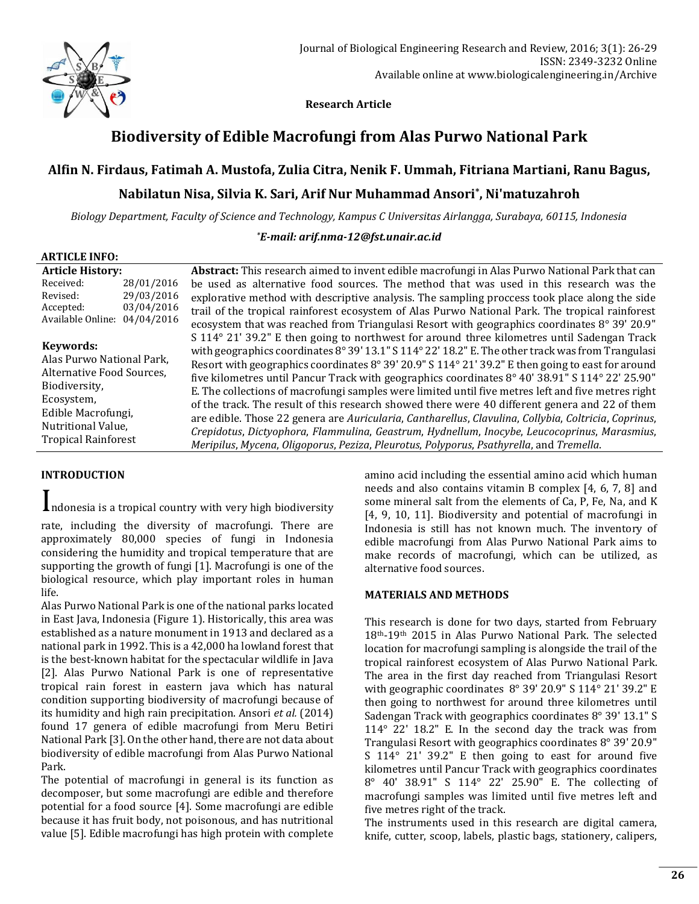

 **Research Article**

# **Biodiversity of Edible Macrofungi from Alas Purwo National Park**

### **Alfin N. Firdaus, Fatimah A. Mustofa, Zulia Citra, Nenik F. Ummah, Fitriana Martiani, Ranu Bagus,**

# **Nabilatun Nisa, Silvia K. Sari, Arif Nur Muhammad Ansori\* , Ni'matuzahroh**

*Biology Department, Faculty of Science and Technology, Kampus C Universitas Airlangga, Surabaya, 60115, Indonesia*

*\*E-mail: [arif.nma-12@fst.unair.ac.id](mailto:arif.nma-12@fst.unair.ac.id)*

| Received:<br>28/01/2016<br>29/03/2016<br>Revised:<br>03/04/2016<br>Accepted:<br>Available Online: 04/04/2016<br>Keywords:<br>Alas Purwo National Park,<br>Alternative Food Sources,<br>Biodiversity,<br>Ecosystem, | <b>Article History:</b> |  | Abstract: This research aimed to invent edible macrofungi in Alas Purwo National Park that can                                                                                                                                                                                                                                                                                                                                                                                                                                                                                                                                                                                                                                                                                                                           |
|--------------------------------------------------------------------------------------------------------------------------------------------------------------------------------------------------------------------|-------------------------|--|--------------------------------------------------------------------------------------------------------------------------------------------------------------------------------------------------------------------------------------------------------------------------------------------------------------------------------------------------------------------------------------------------------------------------------------------------------------------------------------------------------------------------------------------------------------------------------------------------------------------------------------------------------------------------------------------------------------------------------------------------------------------------------------------------------------------------|
|                                                                                                                                                                                                                    |                         |  | be used as alternative food sources. The method that was used in this research was the<br>explorative method with descriptive analysis. The sampling proccess took place along the side                                                                                                                                                                                                                                                                                                                                                                                                                                                                                                                                                                                                                                  |
|                                                                                                                                                                                                                    |                         |  | trail of the tropical rainforest ecosystem of Alas Purwo National Park. The tropical rainforest<br>ecosystem that was reached from Triangulasi Resort with geographics coordinates 8° 39' 20.9"                                                                                                                                                                                                                                                                                                                                                                                                                                                                                                                                                                                                                          |
| Nutritional Value,<br><b>Tropical Rainforest</b><br>Meripilus, Mycena, Oligoporus, Peziza, Pleurotus, Polyporus, Psathyrella, and Tremella.                                                                        | Edible Macrofungi,      |  | S 114° 21′ 39.2″ E then going to northwest for around three kilometres until Sadengan Track<br>with geographics coordinates 8° 39' 13.1" S 114° 22' 18.2" E. The other track was from Trangulasi<br>Resort with geographics coordinates 8° 39′ 20.9″ S 114° 21′ 39.2″ E then going to east for around<br>five kilometres until Pancur Track with geographics coordinates 8° 40' 38.91" S 114° 22' 25.90"<br>E. The collections of macrofungi samples were limited until five metres left and five metres right<br>of the track. The result of this research showed there were 40 different genera and 22 of them<br>are edible. Those 22 genera are Auricularia, Cantharellus, Clavulina, Collybia, Coltricia, Coprinus,<br>Crepidotus, Dictyophora, Flammulina, Geastrum, Hydnellum, Inocybe, Leucocoprinus, Marasmius, |

### **INTRODUCTION**

Indonesia is a tropical country with very high biodiversity rate, including the diversity of macrofungi. There are approximately 80,000 species of fungi in Indonesia considering the humidity and tropical temperature that are supporting the growth of fungi [1]. Macrofungi is one of the biological resource, which play important roles in human life.

Alas Purwo National Park is one of the national parks located in East Java, Indonesia (Figure 1). Historically, this area was established as a nature monument in 1913 and declared as a national park in 1992. This is a 42,000 ha lowland forest that is the best-known habitat for the spectacular wildlife in Java [2]. Alas Purwo National Park is one of representative tropical rain forest in eastern java which has natural condition supporting biodiversity of macrofungi because of its humidity and high rain precipitation. Ansori *et al.* (2014) found 17 genera of edible macrofungi from Meru Betiri National Park [3]. On the other hand, there are not data about biodiversity of edible macrofungi from Alas Purwo National Park.

The potential of macrofungi in general is its function as decomposer, but some macrofungi are edible and therefore potential for a food source [4]. Some macrofungi are edible because it has fruit body, not poisonous, and has nutritional value [5]. Edible macrofungi has high protein with complete amino acid including the essential amino acid which human needs and also contains vitamin B complex [4, 6, 7, 8] and some mineral salt from the elements of Ca, P, Fe, Na, and K [4, 9, 10, 11]. Biodiversity and potential of macrofungi in Indonesia is still has not known much. The inventory of edible macrofungi from Alas Purwo National Park aims to make records of macrofungi, which can be utilized, as alternative food sources.

### **MATERIALS AND METHODS**

This research is done for two days, started from February 18th-19th 2015 in Alas Purwo National Park. The selected location for macrofungi sampling is alongside the trail of the tropical rainforest ecosystem of Alas Purwo National Park. The area in the first day reached from Triangulasi Resort with geographic coordinates 8° 39' 20.9" S 114° 21' 39.2" E then going to northwest for around three kilometres until Sadengan Track with geographics coordinates 8° 39' 13.1" S 114° 22' 18.2" E. In the second day the track was from Trangulasi Resort with geographics coordinates 8° 39' 20.9" S 114° 21' 39.2" E then going to east for around five kilometres until Pancur Track with geographics coordinates 8° 40' 38.91" S 114° 22' 25.90" E. The collecting of macrofungi samples was limited until five metres left and five metres right of the track.

The instruments used in this research are digital camera, knife, cutter, scoop, labels, plastic bags, stationery, calipers,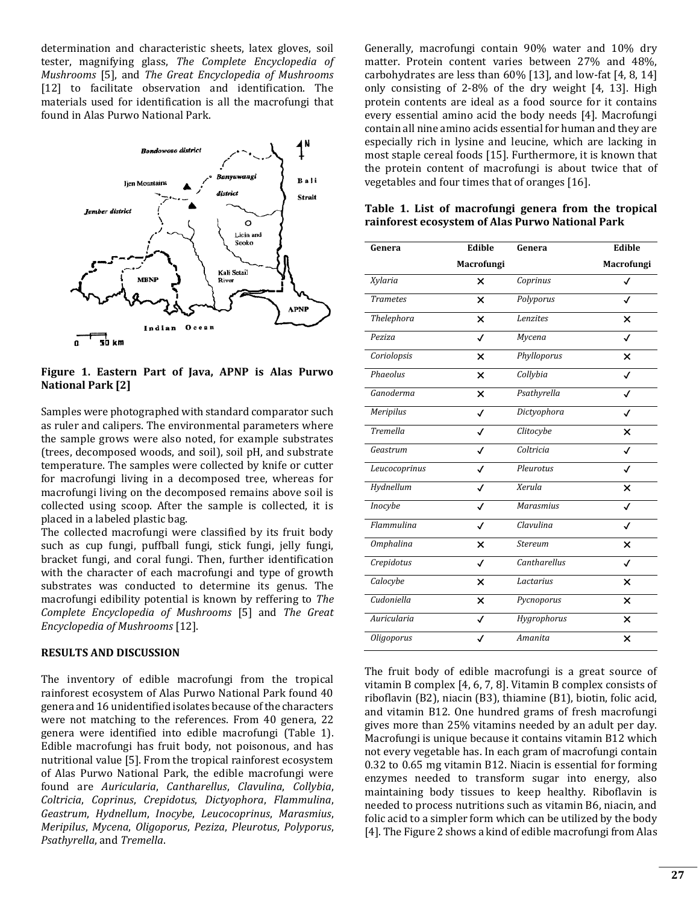determination and characteristic sheets, latex gloves, soil tester, magnifying glass, *The Complete Encyclopedia of Mushrooms* [5], and *The Great Encyclopedia of Mushrooms*  [12] to facilitate observation and identification. The materials used for identification is all the macrofungi that found in Alas Purwo National Park.



**Figure 1. Eastern Part of Java, APNP is Alas Purwo National Park [2]**

Samples were photographed with standard comparator such as ruler and calipers. The environmental parameters where the sample grows were also noted, for example substrates (trees, decomposed woods, and soil), soil pH, and substrate temperature. The samples were collected by knife or cutter for macrofungi living in a decomposed tree, whereas for macrofungi living on the decomposed remains above soil is collected using scoop. After the sample is collected, it is placed in a labeled plastic bag.

The collected macrofungi were classified by its fruit body such as cup fungi, puffball fungi, stick fungi, jelly fungi, bracket fungi, and coral fungi. Then, further identification with the character of each macrofungi and type of growth substrates was conducted to determine its genus. The macrofungi edibility potential is known by reffering to *The Complete Encyclopedia of Mushrooms* [5] and *The Great Encyclopedia of Mushrooms* [12].

#### **RESULTS AND DISCUSSION**

The inventory of edible macrofungi from the tropical rainforest ecosystem of Alas Purwo National Park found 40 genera and 16 unidentified isolates because of the characters were not matching to the references. From 40 genera, 22 genera were identified into edible macrofungi (Table 1). Edible macrofungi has fruit body, not poisonous, and has nutritional value [5]. From the tropical rainforest ecosystem of Alas Purwo National Park, the edible macrofungi were found are *Auricularia*, *Cantharellus*, *Clavulina*, *Collybia*, *Coltricia*, *Coprinus*, *Crepidotus*, *Dictyophora*, *Flammulina*, *Geastrum*, *Hydnellum*, *Inocybe*, *Leucocoprinus*, *Marasmius*, *Meripilus*, *Mycena*, *Oligoporus*, *Peziza*, *Pleurotus*, *Polyporus*, *Psathyrella*, and *Tremella*.

Generally, macrofungi contain 90% water and 10% dry matter. Protein content varies between 27% and 48%, carbohydrates are less than 60% [13], and low-fat [4, 8, 14] only consisting of 2-8% of the dry weight [4, 13]. High protein contents are ideal as a food source for it contains every essential amino acid the body needs [4]. Macrofungi contain all nine amino acids essential for human and they are especially rich in lysine and leucine, which are lacking in most staple cereal foods [15]. Furthermore, it is known that the protein content of macrofungi is about twice that of vegetables and four times that of oranges [16].

| Genera           | Edible                    | Genera              | Edible                    |
|------------------|---------------------------|---------------------|---------------------------|
|                  | Macrofungi                |                     | Macrofungi                |
| Xylaria          | $\boldsymbol{\mathsf{x}}$ | Coprinus            | $\checkmark$              |
| <b>Trametes</b>  | $\boldsymbol{\mathsf{x}}$ | Polyporus           | J                         |
| Thelephora       | $\boldsymbol{\mathsf{x}}$ | Lenzites            | ×                         |
| Peziza           | √                         | Mycena              | √                         |
| Coriolopsis      | $\boldsymbol{\mathsf{x}}$ | Phylloporus         | ×                         |
| Phaeolus         | $\boldsymbol{\mathsf{x}}$ | Collybia            | ✓                         |
| Ganoderma        | $\boldsymbol{\mathsf{x}}$ | Psathyrella         | ✓                         |
| Meripilus        | ✓                         | Dictyophora         | ✓                         |
| <b>Tremella</b>  | ✓                         | Clitocybe           | ×                         |
| Geastrum         | $\checkmark$              | Coltricia           | ✓                         |
| Leucocoprinus    | √                         | Pleurotus           | ✓                         |
| Hydnellum        | √                         | Xerula              | $\overline{\mathsf{x}}$   |
| Inocybe          | ✓                         | <b>Marasmius</b>    | ✓                         |
| Flammulina       | ✓                         | Clavulina           | ✓                         |
| <b>Omphalina</b> | $\boldsymbol{\mathsf{x}}$ | <b>Stereum</b>      | ×                         |
| Crepidotus       | ✓                         | <b>Cantharellus</b> | ✓                         |
| Calocybe         | ×                         | Lactarius           | ×                         |
| Cudoniella       | ×                         | Pycnoporus          | ×                         |
| Auricularia      | ✓                         | Hygrophorus         | $\boldsymbol{\mathsf{x}}$ |
| Oligoporus       | ℐ                         | Amanita             | ×                         |

**Table 1. List of macrofungi genera from the tropical rainforest ecosystem of Alas Purwo National Park**

The fruit body of edible macrofungi is a great source of vitamin B complex [4, 6, 7, 8]. Vitamin B complex consists of riboflavin (B2), niacin (B3), thiamine (B1), biotin, folic acid, and vitamin B12. One hundred grams of fresh macrofungi gives more than 25% vitamins needed by an adult per day. Macrofungi is unique because it contains vitamin B12 which not every vegetable has. In each gram of macrofungi contain 0.32 to 0.65 mg vitamin B12. Niacin is essential for forming enzymes needed to transform sugar into energy, also maintaining body tissues to keep healthy. Riboflavin is needed to process nutritions such as vitamin B6, niacin, and folic acid to a simpler form which can be utilized by the body [4]. The Figure 2 shows a kind of edible macrofungi from Alas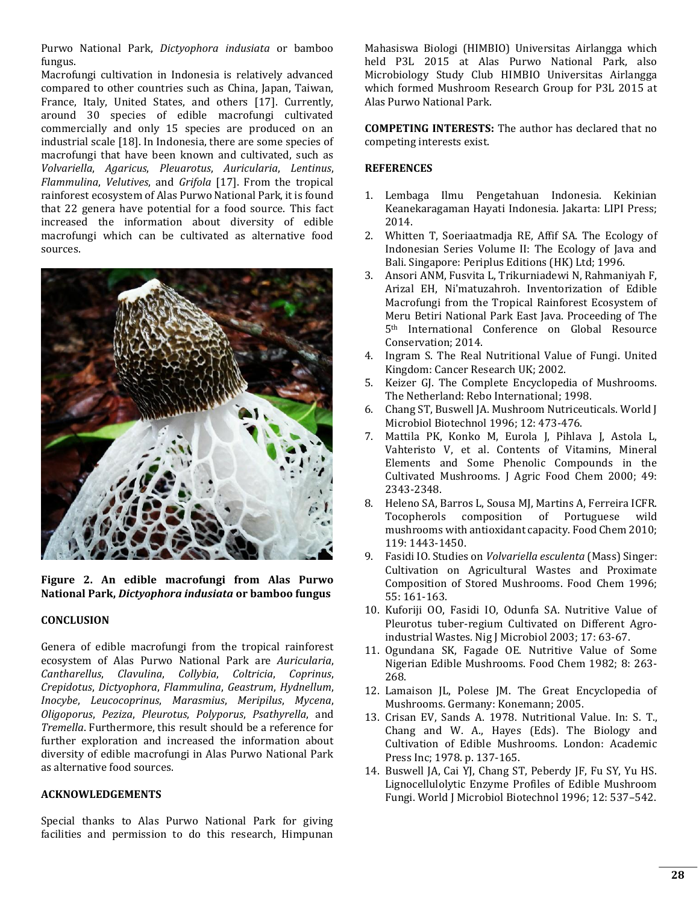Purwo National Park, *Dictyophora indusiata* or bamboo fungus.

Macrofungi cultivation in Indonesia is relatively advanced compared to other countries such as China, Japan, Taiwan, France, Italy, United States, and others [17]. Currently, around 30 species of edible macrofungi cultivated commercially and only 15 species are produced on an industrial scale [18]. In Indonesia, there are some species of macrofungi that have been known and cultivated, such as *Volvariella*, *Agaricus*, *Pleuarotus*, *Auricularia*, *Lentinus*, *Flammulina*, *Velutives*, and *Grifola* [17]. From the tropical rainforest ecosystem of Alas Purwo National Park, it is found that 22 genera have potential for a food source. This fact increased the information about diversity of edible macrofungi which can be cultivated as alternative food sources.



**Figure 2. An edible macrofungi from Alas Purwo National Park,** *Dictyophora indusiata* **or bamboo fungus**

#### **CONCLUSION**

Genera of edible macrofungi from the tropical rainforest ecosystem of Alas Purwo National Park are *Auricularia*, *Cantharellus*, *Clavulina*, *Collybia*, *Coltricia*, *Coprinus*, *Crepidotus*, *Dictyophora*, *Flammulina*, *Geastrum*, *Hydnellum*, *Inocybe*, *Leucocoprinus*, *Marasmius*, *Meripilus*, *Mycena*, *Oligoporus*, *Peziza*, *Pleurotus*, *Polyporus*, *Psathyrella*, and *Tremella*. Furthermore, this result should be a reference for further exploration and increased the information about diversity of edible macrofungi in Alas Purwo National Park as alternative food sources.

### **ACKNOWLEDGEMENTS**

Special thanks to Alas Purwo National Park for giving facilities and permission to do this research, Himpunan

Mahasiswa Biologi (HIMBIO) Universitas Airlangga which held P3L 2015 at Alas Purwo National Park, also Microbiology Study Club HIMBIO Universitas Airlangga which formed Mushroom Research Group for P3L 2015 at Alas Purwo National Park.

**COMPETING INTERESTS:** The author has declared that no competing interests exist.

#### **REFERENCES**

- 1. Lembaga Ilmu Pengetahuan Indonesia. Kekinian Keanekaragaman Hayati Indonesia. Jakarta: LIPI Press; 2014.
- 2. Whitten T, Soeriaatmadja RE, Affif SA. The Ecology of Indonesian Series Volume II: The Ecology of Java and Bali. Singapore: Periplus Editions (HK) Ltd; 1996.
- 3. Ansori ANM, Fusvita L, Trikurniadewi N, Rahmaniyah F, Arizal EH, Ni'matuzahroh. Inventorization of Edible Macrofungi from the Tropical Rainforest Ecosystem of Meru Betiri National Park East Java. Proceeding of The 5th International Conference on Global Resource Conservation; 2014.
- 4. Ingram S. The Real Nutritional Value of Fungi. United Kingdom: Cancer Research UK; 2002.
- 5. Keizer GJ. The Complete Encyclopedia of Mushrooms. The Netherland: Rebo International; 1998.
- 6. Chang ST, Buswell JA. Mushroom Nutriceuticals. World J Microbiol Biotechnol 1996; 12: 473-476.
- 7. Mattila PK, Konko M, Eurola J, Pihlava J, Astola L, Vahteristo V, et al. Contents of Vitamins, Mineral Elements and Some Phenolic Compounds in the Cultivated Mushrooms. J Agric Food Chem 2000; 49: 2343-2348.
- 8. Heleno SA, Barros L, Sousa MJ, Martins A, Ferreira ICFR. Tocopherols composition of Portuguese wild mushrooms with antioxidant capacity. Food Chem 2010; 119: 1443-1450.
- 9. Fasidi IO. Studies on *Volvariella esculenta* (Mass) Singer: Cultivation on Agricultural Wastes and Proximate Composition of Stored Mushrooms. Food Chem 1996; 55: 161-163.
- 10. Kuforiji OO, Fasidi IO, Odunfa SA. Nutritive Value of Pleurotus tuber-regium Cultivated on Different Agroindustrial Wastes. Nig J Microbiol 2003; 17: 63-67.
- 11. Ogundana SK, Fagade OE. Nutritive Value of Some Nigerian Edible Mushrooms. Food Chem 1982; 8: 263- 268.
- 12. Lamaison JL, Polese JM. The Great Encyclopedia of Mushrooms. Germany: Konemann; 2005.
- 13. Crisan EV, Sands A. 1978. Nutritional Value. In: S. T., Chang and W. A., Hayes (Eds). The Biology and Cultivation of Edible Mushrooms. London: Academic Press Inc; 1978. p. 137-165.
- 14. Buswell JA, Cai YJ, Chang ST, Peberdy JF, Fu SY, Yu HS. Lignocellulolytic Enzyme Profiles of Edible Mushroom Fungi. World J Microbiol Biotechnol 1996; 12: 537–542.